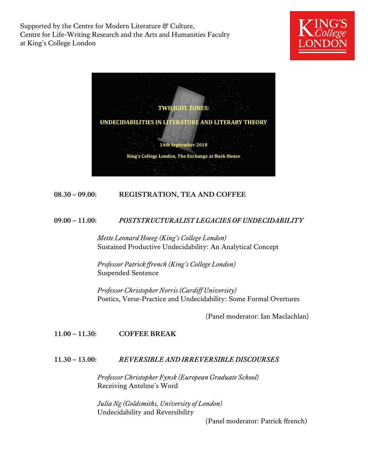Supported by the Centre for Modern Literature & Culture, Centre for Life-Writing Research and the Arts and Humanities Faculty at King's College London





## **08.30 – 09.00: REGISTRATION, TEA AND COFFEE**

#### **09.00 – 11.00:** *POSTSTRUCTURALIST LEGACIES OF UNDECIDABILITY*

*Mette Leonard Hoeeg (King's College London)* Sustained Productive Undecidability: An Analytical Concept

*Professor Patrick ffrench (King's College London)* Suspended Sentence

*Professor Christopher Norris (Cardiff University)* Poetics, Verse-Practice and Undecidability: Some Formal Overtures

(Panel moderator: Ian Maclachlan)

**11.00 – 11.30: COFFEE BREAK**

### **11.30 – 13.00:** *REVERSIBLE AND IRREVERSIBLE DISCOURSES*

*Professor Christopher Fynsk (European Graduate School)* Receiving Antelme's Word

*Julia Ng (Goldsmiths, University of London)* Undecidability and Reversibility

(Panel moderator: Patrick ffrench)